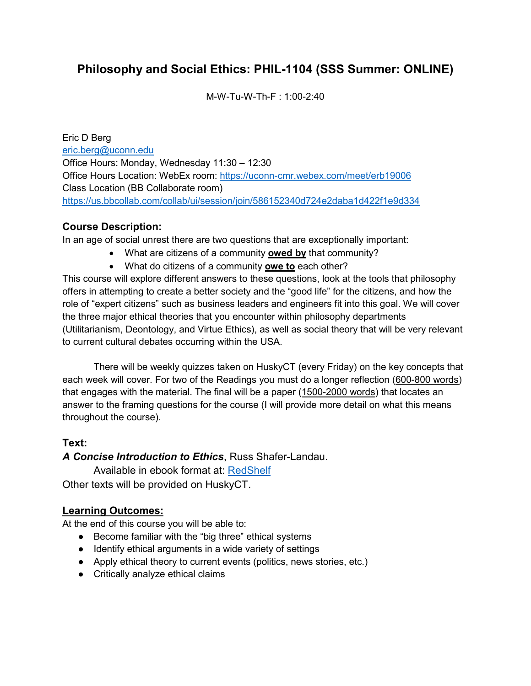# **Philosophy and Social Ethics: PHIL-1104 (SSS Summer: ONLINE)**

M-W-Tu-W-Th-F : 1:00-2:40

Eric D Berg [eric.berg@uconn.edu](mailto:eric.berg@uconn.edu) Office Hours: Monday, Wednesday 11:30 – 12:30 Office Hours Location: WebEx room:<https://uconn-cmr.webex.com/meet/erb19006> Class Location (BB Collaborate room) <https://us.bbcollab.com/collab/ui/session/join/586152340d724e2daba1d422f1e9d334>

## **Course Description:**

In an age of social unrest there are two questions that are exceptionally important:

- What are citizens of a community **owed by** that community?
- What do citizens of a community **owe to** each other?

This course will explore different answers to these questions, look at the tools that philosophy offers in attempting to create a better society and the "good life" for the citizens, and how the role of "expert citizens" such as business leaders and engineers fit into this goal. We will cover the three major ethical theories that you encounter within philosophy departments (Utilitarianism, Deontology, and Virtue Ethics), as well as social theory that will be very relevant to current cultural debates occurring within the USA.

There will be weekly quizzes taken on HuskyCT (every Friday) on the key concepts that each week will cover. For two of the Readings you must do a longer reflection (600-800 words) that engages with the material. The final will be a paper (1500-2000 words) that locates an answer to the framing questions for the course (I will provide more detail on what this means throughout the course).

## **Text:**

*A Concise Introduction to Ethics*, Russ Shafer-Landau.

Available in ebook format at: [RedShelf](https://www.redshelf.com/) Other texts will be provided on HuskyCT.

## **Learning Outcomes:**

At the end of this course you will be able to:

- Become familiar with the "big three" ethical systems
- Identify ethical arguments in a wide variety of settings
- Apply ethical theory to current events (politics, news stories, etc.)
- Critically analyze ethical claims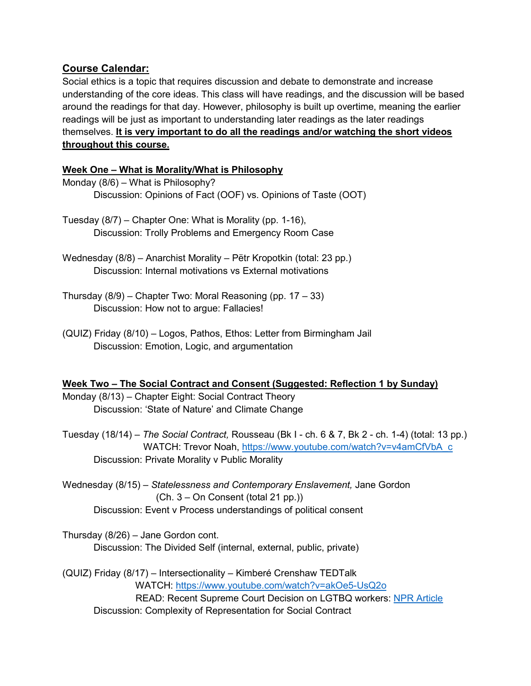## **Course Calendar:**

Social ethics is a topic that requires discussion and debate to demonstrate and increase understanding of the core ideas. This class will have readings, and the discussion will be based around the readings for that day. However, philosophy is built up overtime, meaning the earlier readings will be just as important to understanding later readings as the later readings themselves. **It is very important to do all the readings and/or watching the short videos throughout this course.**

#### **Week One – What is Morality/What is Philosophy**

- Monday (8/6) What is Philosophy? Discussion: Opinions of Fact (OOF) vs. Opinions of Taste (OOT)
- Tuesday (8/7) Chapter One: What is Morality (pp. 1-16), Discussion: Trolly Problems and Emergency Room Case
- Wednesday (8/8) Anarchist Morality Pëtr Kropotkin (total: 23 pp.) Discussion: Internal motivations vs External motivations
- Thursday  $(8/9)$  Chapter Two: Moral Reasoning (pp. 17 33) Discussion: How not to argue: Fallacies!
- (QUIZ) Friday (8/10) Logos, Pathos, Ethos: Letter from Birmingham Jail Discussion: Emotion, Logic, and argumentation

#### **Week Two – The Social Contract and Consent (Suggested: Reflection 1 by Sunday)**

Monday (8/13) – Chapter Eight: Social Contract Theory Discussion: 'State of Nature' and Climate Change

Tuesday (18/14) – *The Social Contract,* Rousseau (Bk I - ch. 6 & 7, Bk 2 - ch. 1-4) (total: 13 pp.) WATCH: Trevor Noah, [https://www.youtube.com/watch?v=v4amCfVbA\\_c](https://www.youtube.com/watch?v=v4amCfVbA_c) Discussion: Private Morality v Public Morality

Wednesday (8/15) – *Statelessness and Contemporary Enslavement,* Jane Gordon (Ch. 3 – On Consent (total 21 pp.)) Discussion: Event v Process understandings of political consent

Thursday (8/26) – Jane Gordon cont. Discussion: The Divided Self (internal, external, public, private)

(QUIZ) Friday (8/17) – Intersectionality – Kimberé Crenshaw TEDTalk WATCH:<https://www.youtube.com/watch?v=akOe5-UsQ2o> READ: Recent Supreme Court Decision on LGTBQ workers: [NPR Article](https://www.npr.org/2020/06/15/863498848/supreme-court-delivers-major-victory-to-lgbtq-employees) Discussion: Complexity of Representation for Social Contract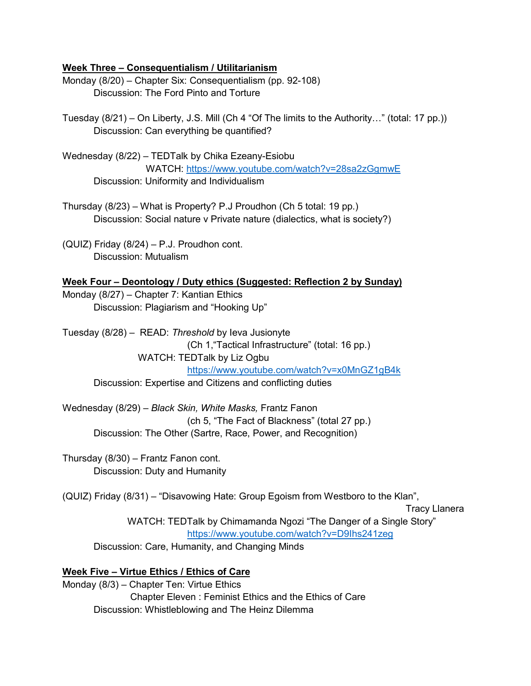#### **Week Three – Consequentialism / Utilitarianism**

Monday (8/20) – Chapter Six: Consequentialism (pp. 92-108) Discussion: The Ford Pinto and Torture

Tuesday (8/21) – On Liberty, J.S. Mill (Ch 4 "Of The limits to the Authority…" (total: 17 pp.)) Discussion: Can everything be quantified?

Wednesday (8/22) – TEDTalk by Chika Ezeany-Esiobu WATCH:<https://www.youtube.com/watch?v=28sa2zGgmwE> Discussion: Uniformity and Individualism

Thursday (8/23) – What is Property? P.J Proudhon (Ch 5 total: 19 pp.) Discussion: Social nature v Private nature (dialectics, what is society?)

(QUIZ) Friday (8/24) – P.J. Proudhon cont. Discussion: Mutualism

#### **Week Four – Deontology / Duty ethics (Suggested: Reflection 2 by Sunday)**

Monday (8/27) – Chapter 7: Kantian Ethics Discussion: Plagiarism and "Hooking Up"

Tuesday (8/28) – READ: *Threshold* by Ieva Jusionyte (Ch 1,"Tactical Infrastructure" (total: 16 pp.) WATCH: TEDTalk by Liz Ogbu <https://www.youtube.com/watch?v=x0MnGZ1gB4k> Discussion: Expertise and Citizens and conflicting duties

Wednesday (8/29) – *Black Skin, White Masks,* Frantz Fanon (ch 5, "The Fact of Blackness" (total 27 pp.) Discussion: The Other (Sartre, Race, Power, and Recognition)

Thursday (8/30) – Frantz Fanon cont. Discussion: Duty and Humanity

(QUIZ) Friday (8/31) – "Disavowing Hate: Group Egoism from Westboro to the Klan",

Tracy Llanera

WATCH: TEDTalk by Chimamanda Ngozi "The Danger of a Single Story" <https://www.youtube.com/watch?v=D9Ihs241zeg>

Discussion: Care, Humanity, and Changing Minds

#### **Week Five – Virtue Ethics / Ethics of Care**

Monday (8/3) – Chapter Ten: Virtue Ethics Chapter Eleven : Feminist Ethics and the Ethics of Care Discussion: Whistleblowing and The Heinz Dilemma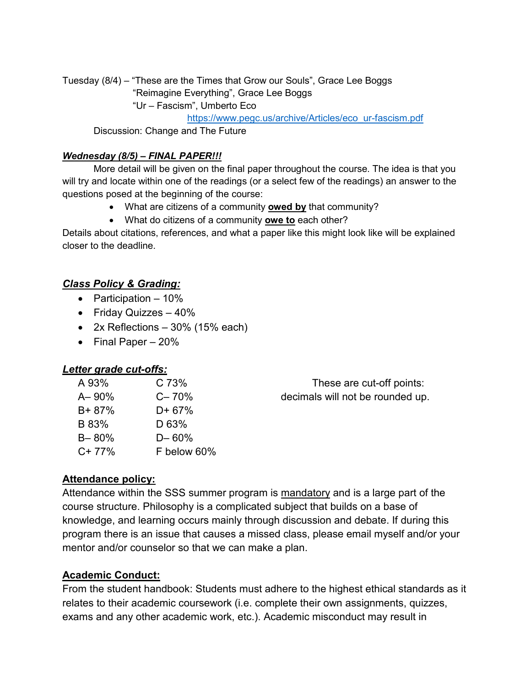Tuesday (8/4) – "These are the Times that Grow our Souls", Grace Lee Boggs

"Reimagine Everything", Grace Lee Boggs

"Ur – Fascism", Umberto Eco

[https://www.pegc.us/archive/Articles/eco\\_ur-fascism.pdf](https://www.pegc.us/archive/Articles/eco_ur-fascism.pdf)

Discussion: Change and The Future

#### *Wednesday (8/5) – FINAL PAPER!!!*

More detail will be given on the final paper throughout the course. The idea is that you will try and locate within one of the readings (or a select few of the readings) an answer to the questions posed at the beginning of the course:

- What are citizens of a community **owed by** that community?
- What do citizens of a community **owe to** each other?

Details about citations, references, and what a paper like this might look like will be explained closer to the deadline.

## *Class Policy & Grading:*

- Participation 10%
- Friday Quizzes 40%
- $2x$  Reflections 30% (15% each)
- Final Paper 20%

## *Letter grade cut-offs:*

| A 93%      | C 73%             | These are cut-off points:        |
|------------|-------------------|----------------------------------|
| $A - 90\%$ | $C - 70%$         | decimals will not be rounded up. |
| $B + 87%$  | $D + 67%$         |                                  |
| B 83%      | D <sub>63</sub> % |                                  |
| $B - 80%$  | $D - 60%$         |                                  |
| $C+77%$    | F below 60%       |                                  |

## **Attendance policy:**

Attendance within the SSS summer program is mandatory and is a large part of the course structure. Philosophy is a complicated subject that builds on a base of knowledge, and learning occurs mainly through discussion and debate. If during this program there is an issue that causes a missed class, please email myself and/or your mentor and/or counselor so that we can make a plan.

## **Academic Conduct:**

From the student handbook: Students must adhere to the highest ethical standards as it relates to their academic coursework (i.e. complete their own assignments, quizzes, exams and any other academic work, etc.). Academic misconduct may result in